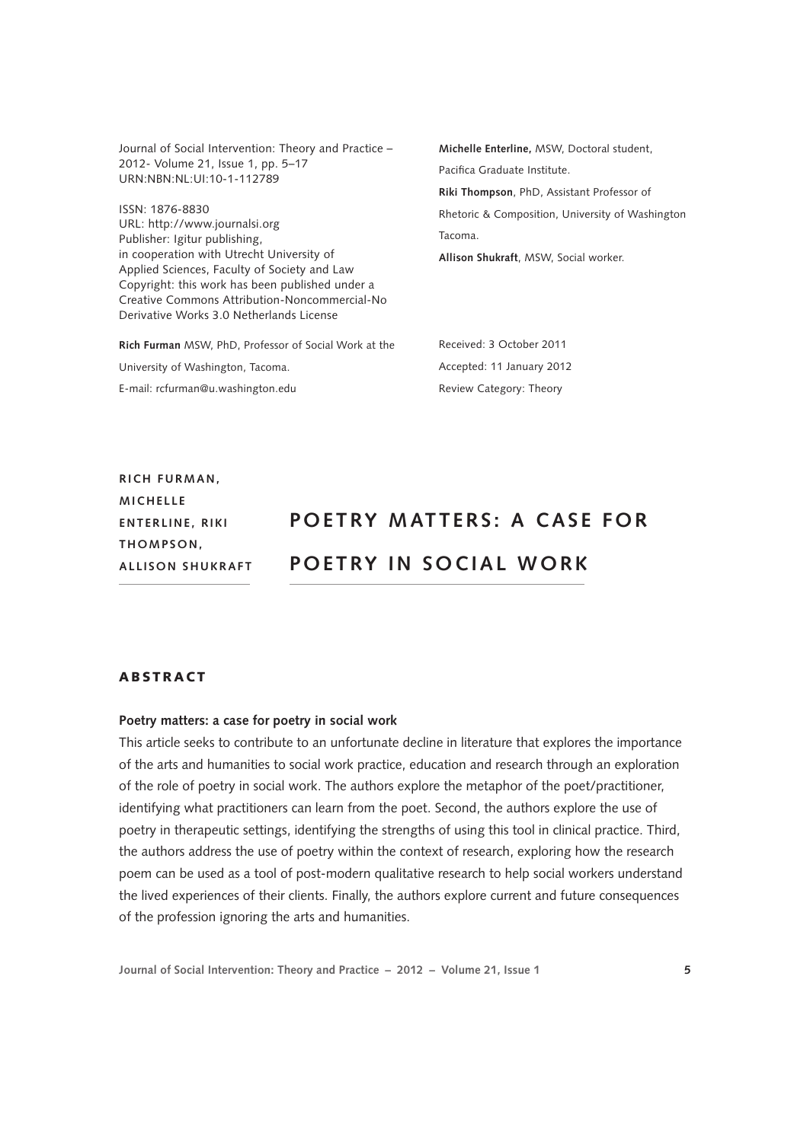Journal of Social Intervention: Theory and Practice – 2012- Volume 21, Issue 1, pp. 5–17 URN:NBN:NL:UI:10-1-112789

ISSN: 1876-8830 <URL: http://www.journalsi.org> Publisher: Igitur publishing, in cooperation with Utrecht University of Applied Sciences, Faculty of Society and Law Copyright: this work has been published under a Creative Commons Attribution-Noncommercial-No Derivative Works 3.0 Netherlands License

**Rich Furman** MSW, PhD, Professor of Social Work at the University of Washington, Tacoma. E-mail: rcfurman@u.washington.edu

**Michelle Enterline,** MSW, Doctoral student, Pacifica Graduate Institute. **Riki Thompson**, PhD, Assistant Professor of Rhetoric & Composition, University of Washington Tacoma.

**Allison Shukraft**, MSW, Social worker.

Received: 3 October 2011 Accepted: 11 January 2012 Review Category: Theory

**RICH FURMAN. MICHELLE E nterl ine , Riki T h omps o n , All is on Shukraft**

# **POETRY MATTERS: A CASE FOR P O ETRY IN S OCI AL WO RK**

# ABSTRACT

### **Poetry matters: a case for poetry in social work**

This article seeks to contribute to an unfortunate decline in literature that explores the importance of the arts and humanities to social work practice, education and research through an exploration of the role of poetry in social work. The authors explore the metaphor of the poet/practitioner, identifying what practitioners can learn from the poet. Second, the authors explore the use of poetry in therapeutic settings, identifying the strengths of using this tool in clinical practice. Third, the authors address the use of poetry within the context of research, exploring how the research poem can be used as a tool of post-modern qualitative research to help social workers understand the lived experiences of their clients. Finally, the authors explore current and future consequences of the profession ignoring the arts and humanities.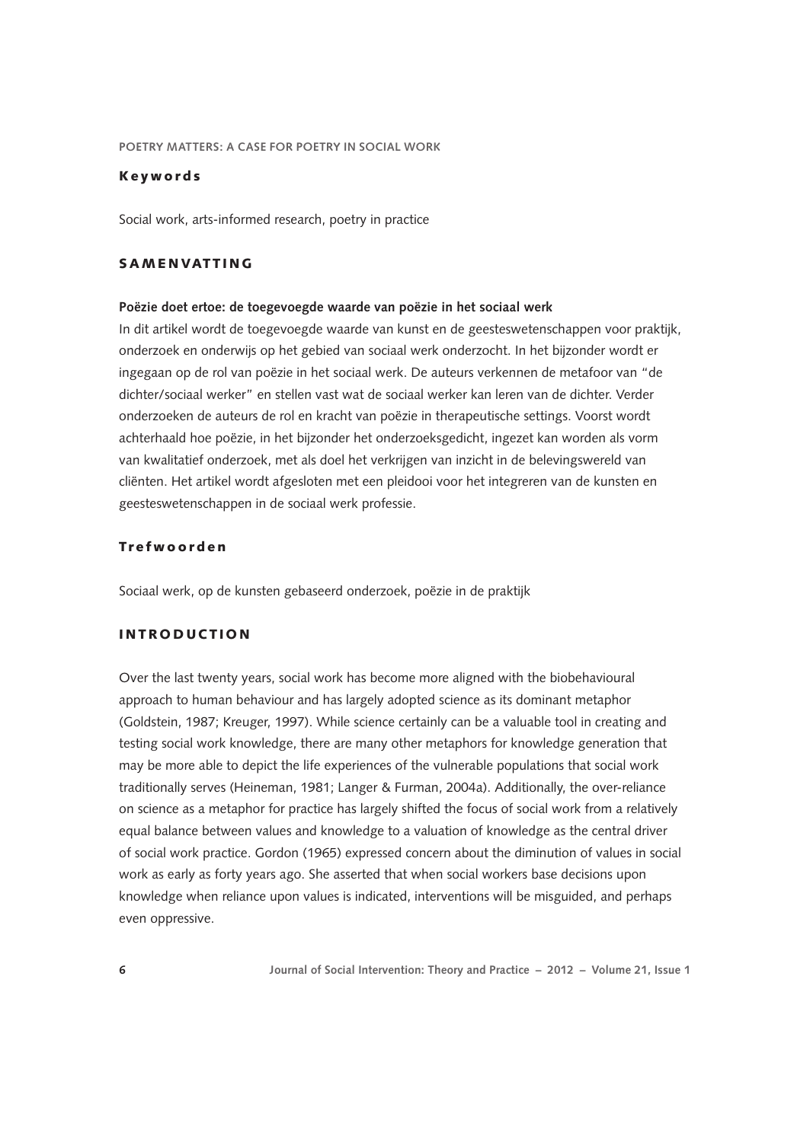## Keywords

Social work, arts-informed research, poetry in practice

# **SAMENVATTING**

## **Poëzie doet ertoe: de toegevoegde waarde van poëzie in het sociaal werk**

In dit artikel wordt de toegevoegde waarde van kunst en de geesteswetenschappen voor praktijk, onderzoek en onderwijs op het gebied van sociaal werk onderzocht. In het bijzonder wordt er ingegaan op de rol van poëzie in het sociaal werk. De auteurs verkennen de metafoor van "de dichter/sociaal werker" en stellen vast wat de sociaal werker kan leren van de dichter. Verder onderzoeken de auteurs de rol en kracht van poëzie in therapeutische settings. Voorst wordt achterhaald hoe poëzie, in het bijzonder het onderzoeksgedicht, ingezet kan worden als vorm van kwalitatief onderzoek, met als doel het verkrijgen van inzicht in de belevingswereld van cliënten. Het artikel wordt afgesloten met een pleidooi voor het integreren van de kunsten en geesteswetenschappen in de sociaal werk professie.

# Trefwoorden

Sociaal werk, op de kunsten gebaseerd onderzoek, poëzie in de praktijk

## INTRODUCTION

Over the last twenty years, social work has become more aligned with the biobehavioural approach to human behaviour and has largely adopted science as its dominant metaphor (Goldstein, 1987; Kreuger, 1997). While science certainly can be a valuable tool in creating and testing social work knowledge, there are many other metaphors for knowledge generation that may be more able to depict the life experiences of the vulnerable populations that social work traditionally serves (Heineman, 1981; Langer & Furman, 2004a). Additionally, the over-reliance on science as a metaphor for practice has largely shifted the focus of social work from a relatively equal balance between values and knowledge to a valuation of knowledge as the central driver of social work practice. Gordon (1965) expressed concern about the diminution of values in social work as early as forty years ago. She asserted that when social workers base decisions upon knowledge when reliance upon values is indicated, interventions will be misguided, and perhaps even oppressive.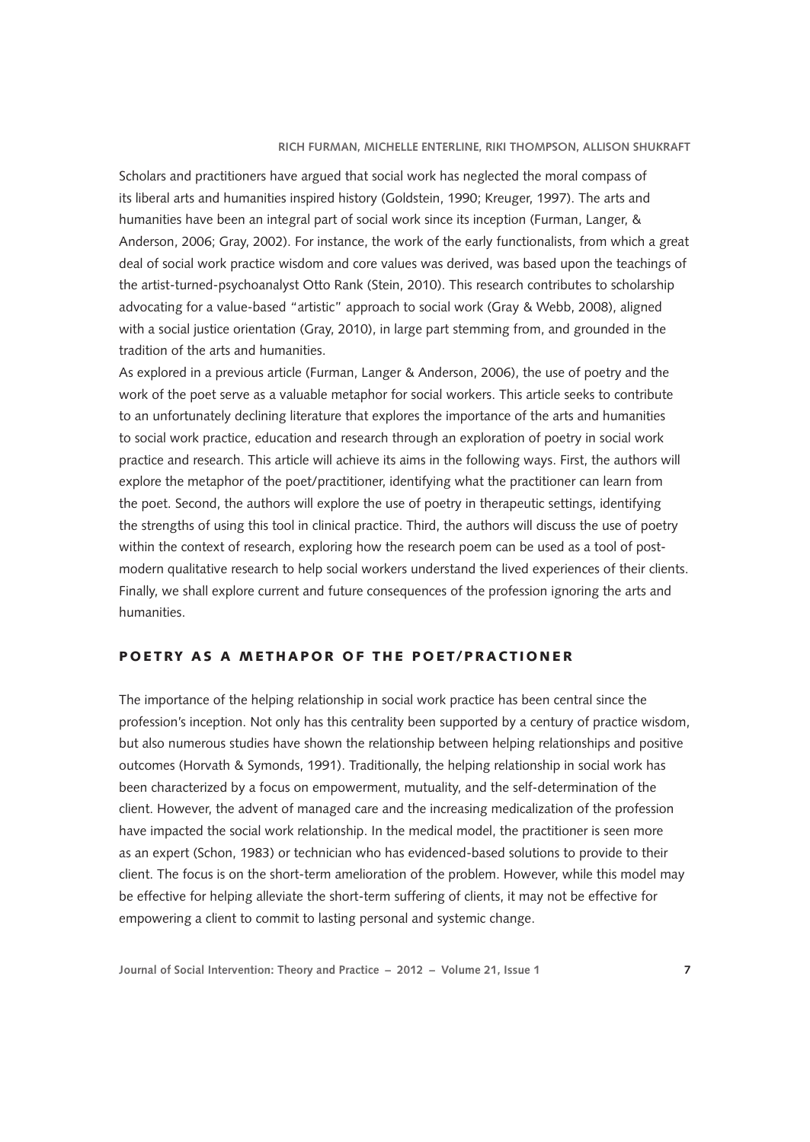## **Rich Furman, Michelle Enterline, Riki Thompson, Allison Shukraft**

Scholars and practitioners have argued that social work has neglected the moral compass of its liberal arts and humanities inspired history (Goldstein, 1990; Kreuger, 1997). The arts and humanities have been an integral part of social work since its inception (Furman, Langer, & Anderson, 2006; Gray, 2002). For instance, the work of the early functionalists, from which a great deal of social work practice wisdom and core values was derived, was based upon the teachings of the artist-turned-psychoanalyst Otto Rank (Stein, 2010). This research contributes to scholarship advocating for a value-based "artistic" approach to social work (Gray & Webb, 2008), aligned with a social justice orientation (Gray, 2010), in large part stemming from, and grounded in the tradition of the arts and humanities.

As explored in a previous article (Furman, Langer & Anderson, 2006), the use of poetry and the work of the poet serve as a valuable metaphor for social workers. This article seeks to contribute to an unfortunately declining literature that explores the importance of the arts and humanities to social work practice, education and research through an exploration of poetry in social work practice and research. This article will achieve its aims in the following ways. First, the authors will explore the metaphor of the poet/practitioner, identifying what the practitioner can learn from the poet. Second, the authors will explore the use of poetry in therapeutic settings, identifying the strengths of using this tool in clinical practice. Third, the authors will discuss the use of poetry within the context of research, exploring how the research poem can be used as a tool of postmodern qualitative research to help social workers understand the lived experiences of their clients. Finally, we shall explore current and future consequences of the profession ignoring the arts and humanities.

# POETRY AS A METHAPOR OF THE POET/PRACTIONER

The importance of the helping relationship in social work practice has been central since the profession's inception. Not only has this centrality been supported by a century of practice wisdom, but also numerous studies have shown the relationship between helping relationships and positive outcomes (Horvath & Symonds, 1991). Traditionally, the helping relationship in social work has been characterized by a focus on empowerment, mutuality, and the self-determination of the client. However, the advent of managed care and the increasing medicalization of the profession have impacted the social work relationship. In the medical model, the practitioner is seen more as an expert (Schon, 1983) or technician who has evidenced-based solutions to provide to their client. The focus is on the short-term amelioration of the problem. However, while this model may be effective for helping alleviate the short-term suffering of clients, it may not be effective for empowering a client to commit to lasting personal and systemic change.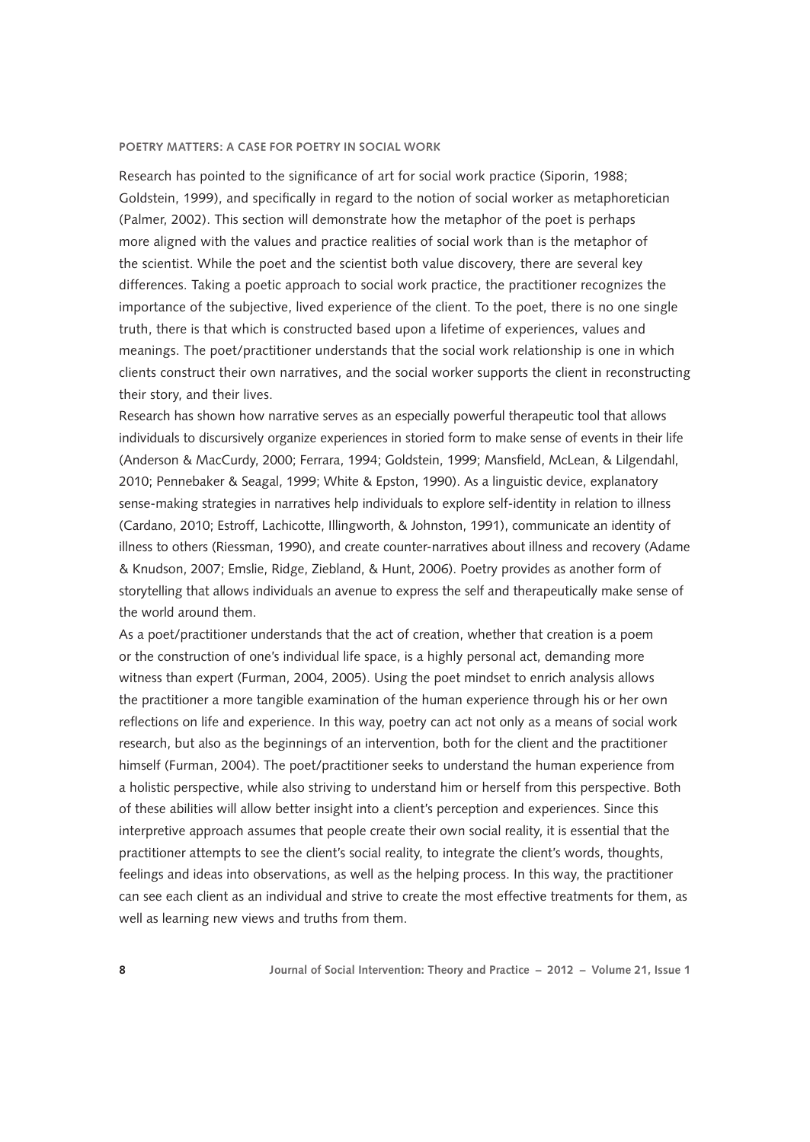Research has pointed to the significance of art for social work practice (Siporin, 1988; Goldstein, 1999), and specifically in regard to the notion of social worker as metaphoretician (Palmer, 2002). This section will demonstrate how the metaphor of the poet is perhaps more aligned with the values and practice realities of social work than is the metaphor of the scientist. While the poet and the scientist both value discovery, there are several key differences. Taking a poetic approach to social work practice, the practitioner recognizes the importance of the subjective, lived experience of the client. To the poet, there is no one single truth, there is that which is constructed based upon a lifetime of experiences, values and meanings. The poet/practitioner understands that the social work relationship is one in which clients construct their own narratives, and the social worker supports the client in reconstructing their story, and their lives.

Research has shown how narrative serves as an especially powerful therapeutic tool that allows individuals to discursively organize experiences in storied form to make sense of events in their life (Anderson & MacCurdy, 2000; Ferrara, 1994; Goldstein, 1999; Mansfield, McLean, & Lilgendahl, 2010; Pennebaker & Seagal, 1999; White & Epston, 1990). As a linguistic device, explanatory sense-making strategies in narratives help individuals to explore self-identity in relation to illness (Cardano, 2010; Estroff, Lachicotte, Illingworth, & Johnston, 1991), communicate an identity of illness to others (Riessman, 1990), and create counter-narratives about illness and recovery (Adame & Knudson, 2007; Emslie, Ridge, Ziebland, & Hunt, 2006). Poetry provides as another form of storytelling that allows individuals an avenue to express the self and therapeutically make sense of the world around them.

As a poet/practitioner understands that the act of creation, whether that creation is a poem or the construction of one's individual life space, is a highly personal act, demanding more witness than expert (Furman, 2004, 2005). Using the poet mindset to enrich analysis allows the practitioner a more tangible examination of the human experience through his or her own reflections on life and experience. In this way, poetry can act not only as a means of social work research, but also as the beginnings of an intervention, both for the client and the practitioner himself (Furman, 2004). The poet/practitioner seeks to understand the human experience from a holistic perspective, while also striving to understand him or herself from this perspective. Both of these abilities will allow better insight into a client's perception and experiences. Since this interpretive approach assumes that people create their own social reality, it is essential that the practitioner attempts to see the client's social reality, to integrate the client's words, thoughts, feelings and ideas into observations, as well as the helping process. In this way, the practitioner can see each client as an individual and strive to create the most effective treatments for them, as well as learning new views and truths from them.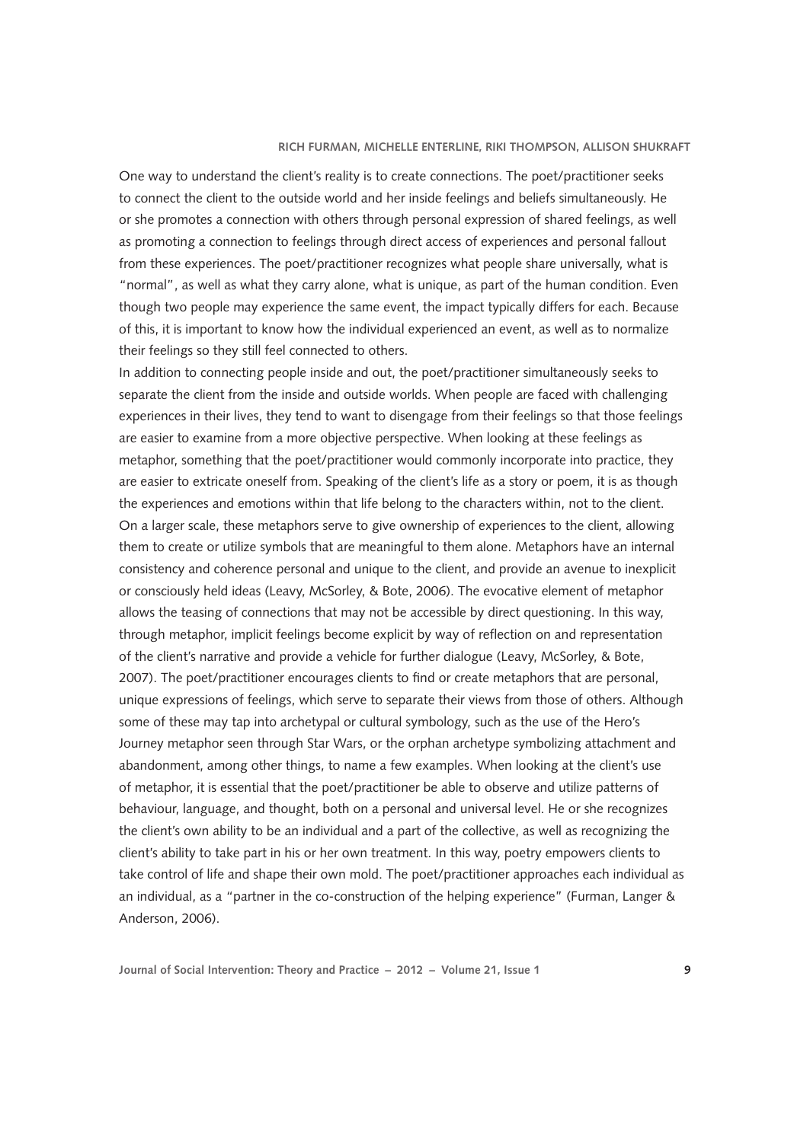### **Rich Furman, Michelle Enterline, Riki Thompson, Allison Shukraft**

One way to understand the client's reality is to create connections. The poet/practitioner seeks to connect the client to the outside world and her inside feelings and beliefs simultaneously. He or she promotes a connection with others through personal expression of shared feelings, as well as promoting a connection to feelings through direct access of experiences and personal fallout from these experiences. The poet/practitioner recognizes what people share universally, what is "normal", as well as what they carry alone, what is unique, as part of the human condition. Even though two people may experience the same event, the impact typically differs for each. Because of this, it is important to know how the individual experienced an event, as well as to normalize their feelings so they still feel connected to others.

In addition to connecting people inside and out, the poet/practitioner simultaneously seeks to separate the client from the inside and outside worlds. When people are faced with challenging experiences in their lives, they tend to want to disengage from their feelings so that those feelings are easier to examine from a more objective perspective. When looking at these feelings as metaphor, something that the poet/practitioner would commonly incorporate into practice, they are easier to extricate oneself from. Speaking of the client's life as a story or poem, it is as though the experiences and emotions within that life belong to the characters within, not to the client. On a larger scale, these metaphors serve to give ownership of experiences to the client, allowing them to create or utilize symbols that are meaningful to them alone. Metaphors have an internal consistency and coherence personal and unique to the client, and provide an avenue to inexplicit or consciously held ideas (Leavy, McSorley, & Bote, 2006). The evocative element of metaphor allows the teasing of connections that may not be accessible by direct questioning. In this way, through metaphor, implicit feelings become explicit by way of reflection on and representation of the client's narrative and provide a vehicle for further dialogue (Leavy, McSorley, & Bote, 2007). The poet/practitioner encourages clients to find or create metaphors that are personal, unique expressions of feelings, which serve to separate their views from those of others. Although some of these may tap into archetypal or cultural symbology, such as the use of the Hero's Journey metaphor seen through Star Wars, or the orphan archetype symbolizing attachment and abandonment, among other things, to name a few examples. When looking at the client's use of metaphor, it is essential that the poet/practitioner be able to observe and utilize patterns of behaviour, language, and thought, both on a personal and universal level. He or she recognizes the client's own ability to be an individual and a part of the collective, as well as recognizing the client's ability to take part in his or her own treatment. In this way, poetry empowers clients to take control of life and shape their own mold. The poet/practitioner approaches each individual as an individual, as a "partner in the co-construction of the helping experience" (Furman, Langer & Anderson, 2006).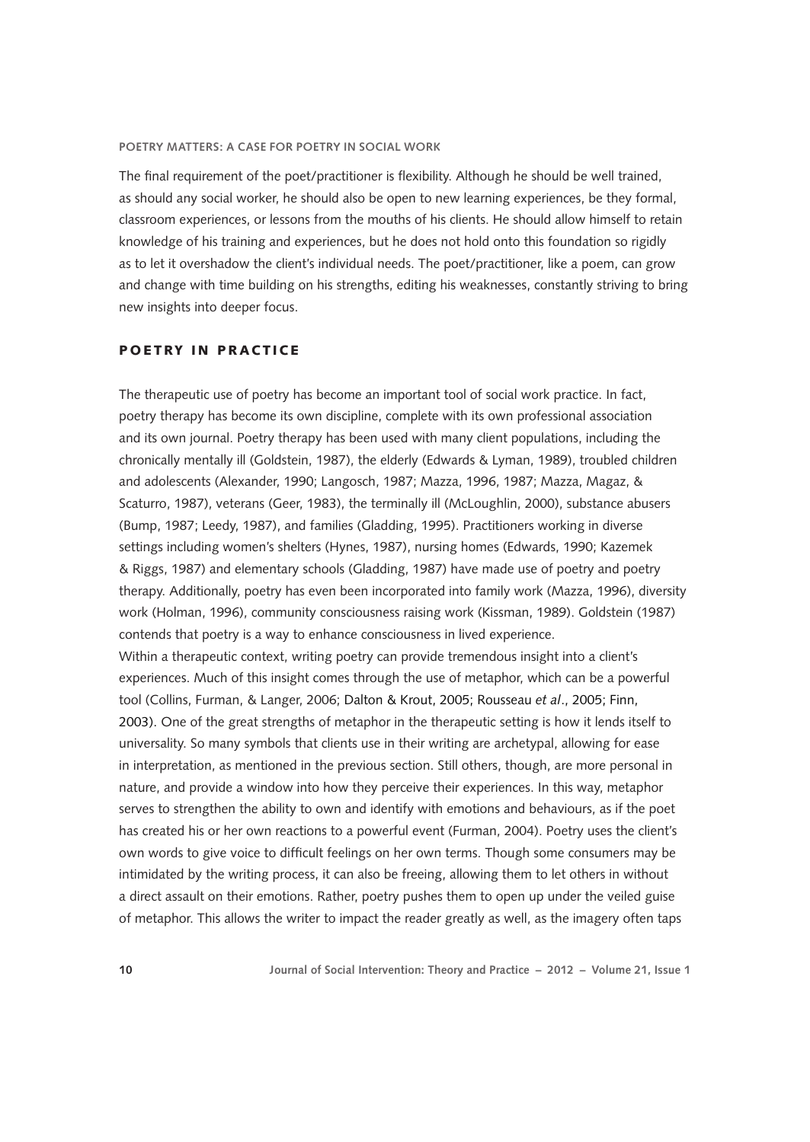The final requirement of the poet/practitioner is flexibility. Although he should be well trained, as should any social worker, he should also be open to new learning experiences, be they formal, classroom experiences, or lessons from the mouths of his clients. He should allow himself to retain knowledge of his training and experiences, but he does not hold onto this foundation so rigidly as to let it overshadow the client's individual needs. The poet/practitioner, like a poem, can grow and change with time building on his strengths, editing his weaknesses, constantly striving to bring new insights into deeper focus.

# POETRY IN PRACTICE

The therapeutic use of poetry has become an important tool of social work practice. In fact, poetry therapy has become its own discipline, complete with its own professional association and its own journal. Poetry therapy has been used with many client populations, including the chronically mentally ill (Goldstein, 1987), the elderly (Edwards & Lyman, 1989), troubled children and adolescents (Alexander, 1990; Langosch, 1987; Mazza, 1996, 1987; Mazza, Magaz, & Scaturro, 1987), veterans (Geer, 1983), the terminally ill (McLoughlin, 2000), substance abusers (Bump, 1987; Leedy, 1987), and families (Gladding, 1995). Practitioners working in diverse settings including women's shelters (Hynes, 1987), nursing homes (Edwards, 1990; Kazemek & Riggs, 1987) and elementary schools (Gladding, 1987) have made use of poetry and poetry therapy. Additionally, poetry has even been incorporated into family work (Mazza, 1996), diversity work (Holman, 1996), community consciousness raising work (Kissman, 1989). Goldstein (1987) contends that poetry is a way to enhance consciousness in lived experience.

Within a therapeutic context, writing poetry can provide tremendous insight into a client's experiences. Much of this insight comes through the use of metaphor, which can be a powerful tool (Collins, Furman, & Langer, 2006; Dalton & Krout, 2005; Rousseau *et al*., 2005; Finn, 2003). One of the great strengths of metaphor in the therapeutic setting is how it lends itself to universality. So many symbols that clients use in their writing are archetypal, allowing for ease in interpretation, as mentioned in the previous section. Still others, though, are more personal in nature, and provide a window into how they perceive their experiences. In this way, metaphor serves to strengthen the ability to own and identify with emotions and behaviours, as if the poet has created his or her own reactions to a powerful event (Furman, 2004). Poetry uses the client's own words to give voice to difficult feelings on her own terms. Though some consumers may be intimidated by the writing process, it can also be freeing, allowing them to let others in without a direct assault on their emotions. Rather, poetry pushes them to open up under the veiled guise of metaphor. This allows the writer to impact the reader greatly as well, as the imagery often taps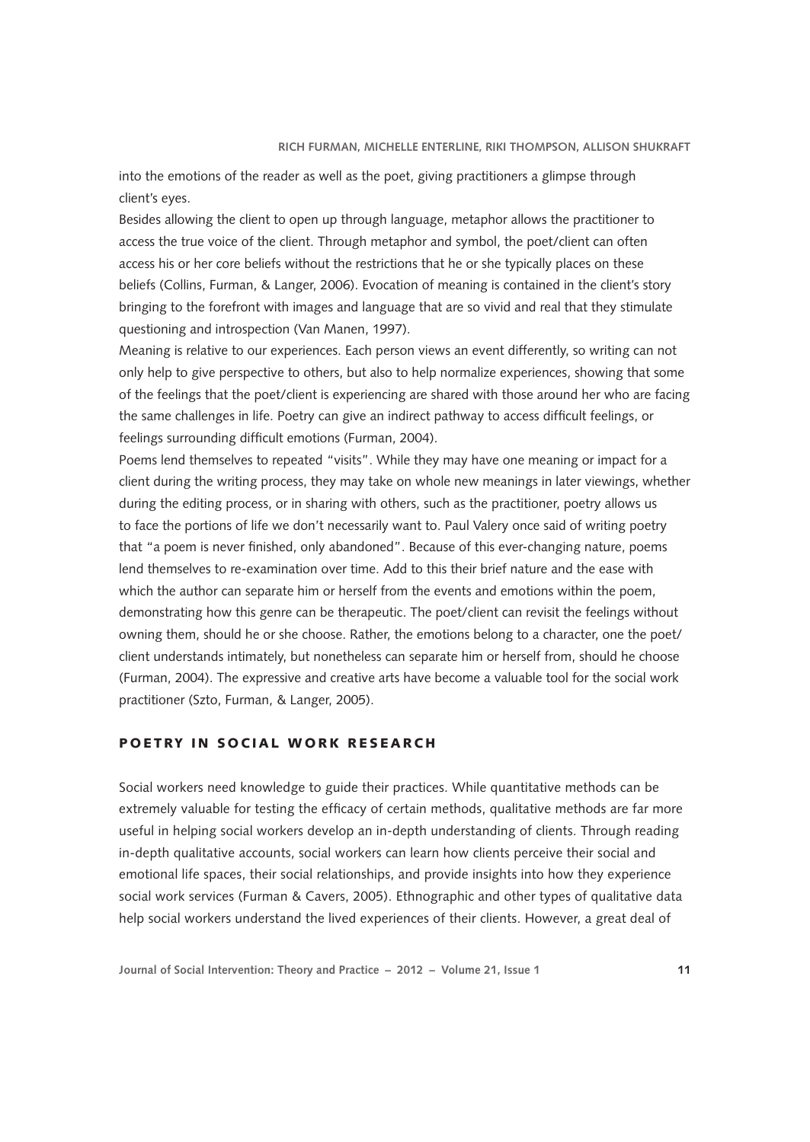into the emotions of the reader as well as the poet, giving practitioners a glimpse through client's eyes.

Besides allowing the client to open up through language, metaphor allows the practitioner to access the true voice of the client. Through metaphor and symbol, the poet/client can often access his or her core beliefs without the restrictions that he or she typically places on these beliefs (Collins, Furman, & Langer, 2006). Evocation of meaning is contained in the client's story bringing to the forefront with images and language that are so vivid and real that they stimulate questioning and introspection (Van Manen, 1997).

Meaning is relative to our experiences. Each person views an event differently, so writing can not only help to give perspective to others, but also to help normalize experiences, showing that some of the feelings that the poet/client is experiencing are shared with those around her who are facing the same challenges in life. Poetry can give an indirect pathway to access difficult feelings, or feelings surrounding difficult emotions (Furman, 2004).

Poems lend themselves to repeated "visits". While they may have one meaning or impact for a client during the writing process, they may take on whole new meanings in later viewings, whether during the editing process, or in sharing with others, such as the practitioner, poetry allows us to face the portions of life we don't necessarily want to. Paul Valery once said of writing poetry that "a poem is never finished, only abandoned". Because of this ever-changing nature, poems lend themselves to re-examination over time. Add to this their brief nature and the ease with which the author can separate him or herself from the events and emotions within the poem, demonstrating how this genre can be therapeutic. The poet/client can revisit the feelings without owning them, should he or she choose. Rather, the emotions belong to a character, one the poet/ client understands intimately, but nonetheless can separate him or herself from, should he choose (Furman, 2004). The expressive and creative arts have become a valuable tool for the social work practitioner (Szto, Furman, & Langer, 2005).

# POETRY IN SOCIAL WORK RESEARCH

Social workers need knowledge to guide their practices. While quantitative methods can be extremely valuable for testing the efficacy of certain methods, qualitative methods are far more useful in helping social workers develop an in-depth understanding of clients. Through reading in-depth qualitative accounts, social workers can learn how clients perceive their social and emotional life spaces, their social relationships, and provide insights into how they experience social work services (Furman & Cavers, 2005). Ethnographic and other types of qualitative data help social workers understand the lived experiences of their clients. However, a great deal of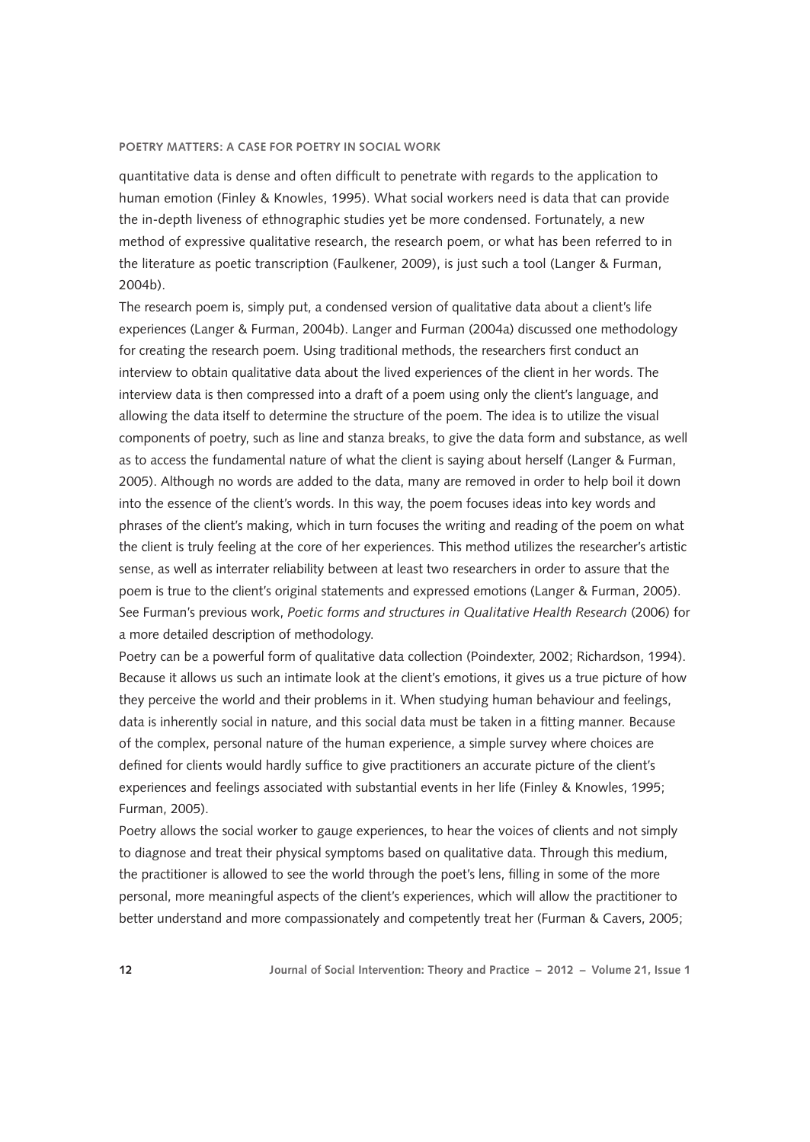quantitative data is dense and often difficult to penetrate with regards to the application to human emotion (Finley & Knowles, 1995). What social workers need is data that can provide the in-depth liveness of ethnographic studies yet be more condensed. Fortunately, a new method of expressive qualitative research, the research poem, or what has been referred to in the literature as poetic transcription (Faulkener, 2009), is just such a tool (Langer & Furman, 2004b).

The research poem is, simply put, a condensed version of qualitative data about a client's life experiences (Langer & Furman, 2004b). Langer and Furman (2004a) discussed one methodology for creating the research poem. Using traditional methods, the researchers first conduct an interview to obtain qualitative data about the lived experiences of the client in her words. The interview data is then compressed into a draft of a poem using only the client's language, and allowing the data itself to determine the structure of the poem. The idea is to utilize the visual components of poetry, such as line and stanza breaks, to give the data form and substance, as well as to access the fundamental nature of what the client is saying about herself (Langer & Furman, 2005). Although no words are added to the data, many are removed in order to help boil it down into the essence of the client's words. In this way, the poem focuses ideas into key words and phrases of the client's making, which in turn focuses the writing and reading of the poem on what the client is truly feeling at the core of her experiences. This method utilizes the researcher's artistic sense, as well as interrater reliability between at least two researchers in order to assure that the poem is true to the client's original statements and expressed emotions (Langer & Furman, 2005). See Furman's previous work, *Poetic forms and structures in Qualitative Health Research* (2006) for a more detailed description of methodology.

Poetry can be a powerful form of qualitative data collection (Poindexter, 2002; Richardson, 1994). Because it allows us such an intimate look at the client's emotions, it gives us a true picture of how they perceive the world and their problems in it. When studying human behaviour and feelings, data is inherently social in nature, and this social data must be taken in a fitting manner. Because of the complex, personal nature of the human experience, a simple survey where choices are defined for clients would hardly suffice to give practitioners an accurate picture of the client's experiences and feelings associated with substantial events in her life (Finley & Knowles, 1995; Furman, 2005).

Poetry allows the social worker to gauge experiences, to hear the voices of clients and not simply to diagnose and treat their physical symptoms based on qualitative data. Through this medium, the practitioner is allowed to see the world through the poet's lens, filling in some of the more personal, more meaningful aspects of the client's experiences, which will allow the practitioner to better understand and more compassionately and competently treat her (Furman & Cavers, 2005;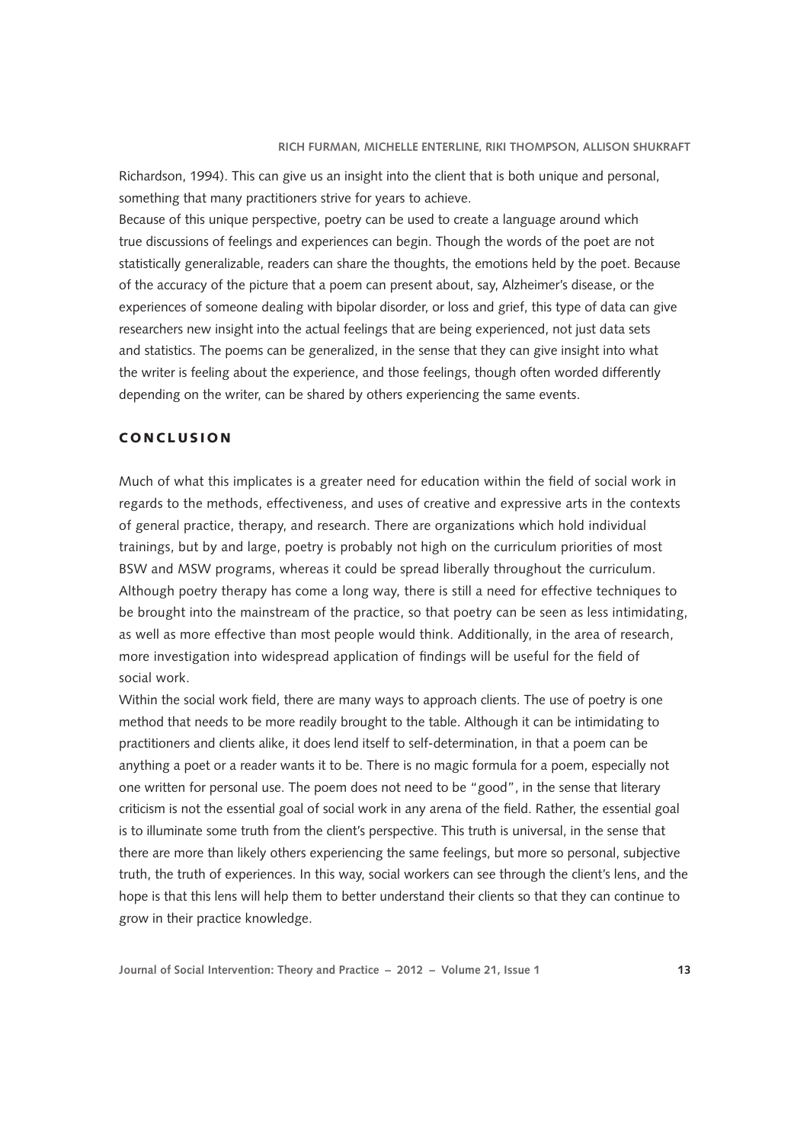Richardson, 1994). This can give us an insight into the client that is both unique and personal, something that many practitioners strive for years to achieve.

Because of this unique perspective, poetry can be used to create a language around which true discussions of feelings and experiences can begin. Though the words of the poet are not statistically generalizable, readers can share the thoughts, the emotions held by the poet. Because of the accuracy of the picture that a poem can present about, say, Alzheimer's disease, or the experiences of someone dealing with bipolar disorder, or loss and grief, this type of data can give researchers new insight into the actual feelings that are being experienced, not just data sets and statistics. The poems can be generalized, in the sense that they can give insight into what the writer is feeling about the experience, and those feelings, though often worded differently depending on the writer, can be shared by others experiencing the same events.

# CONCLUSION

Much of what this implicates is a greater need for education within the field of social work in regards to the methods, effectiveness, and uses of creative and expressive arts in the contexts of general practice, therapy, and research. There are organizations which hold individual trainings, but by and large, poetry is probably not high on the curriculum priorities of most BSW and MSW programs, whereas it could be spread liberally throughout the curriculum. Although poetry therapy has come a long way, there is still a need for effective techniques to be brought into the mainstream of the practice, so that poetry can be seen as less intimidating, as well as more effective than most people would think. Additionally, in the area of research, more investigation into widespread application of findings will be useful for the field of social work.

Within the social work field, there are many ways to approach clients. The use of poetry is one method that needs to be more readily brought to the table. Although it can be intimidating to practitioners and clients alike, it does lend itself to self-determination, in that a poem can be anything a poet or a reader wants it to be. There is no magic formula for a poem, especially not one written for personal use. The poem does not need to be "good", in the sense that literary criticism is not the essential goal of social work in any arena of the field. Rather, the essential goal is to illuminate some truth from the client's perspective. This truth is universal, in the sense that there are more than likely others experiencing the same feelings, but more so personal, subjective truth, the truth of experiences. In this way, social workers can see through the client's lens, and the hope is that this lens will help them to better understand their clients so that they can continue to grow in their practice knowledge.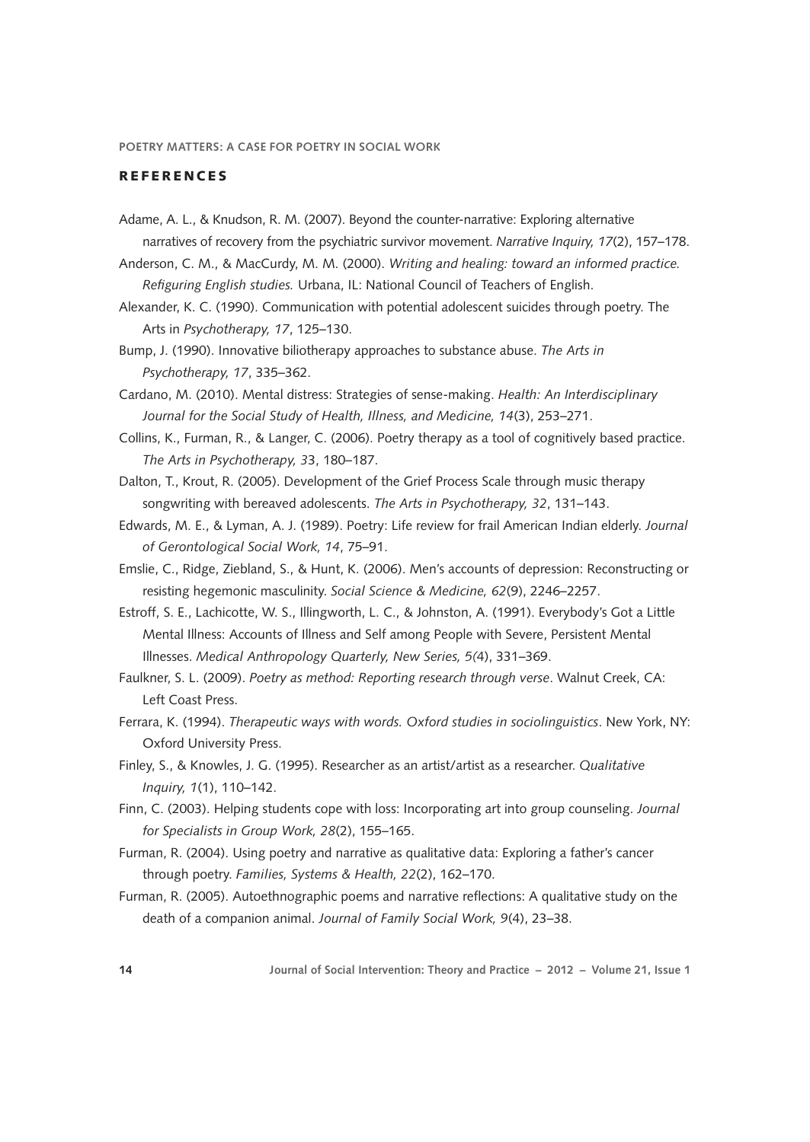## **REFERENCES**

- Adame, A. L., & Knudson, R. M. (2007). Beyond the counter-narrative: Exploring alternative narratives of recovery from the psychiatric survivor movement. *Narrative Inquiry, 17*(2), 157–178.
- Anderson, C. M., & MacCurdy, M. M. (2000). *Writing and healing: toward an informed practice. Refiguring English studies.* Urbana, IL: National Council of Teachers of English.
- Alexander, K. C. (1990). Communication with potential adolescent suicides through poetry. The Arts in *Psychotherapy, 17*, 125–130.
- Bump, J. (1990). Innovative biliotherapy approaches to substance abuse. *The Arts in Psychotherapy, 17*, 335–362.
- Cardano, M. (2010). Mental distress: Strategies of sense-making. *Health: An Interdisciplinary Journal for the Social Study of Health, Illness, and Medicine, 14*(3), 253–271.
- Collins, K., Furman, R., & Langer, C. (2006). Poetry therapy as a tool of cognitively based practice. *The Arts in Psychotherapy, 3*3, 180–187.
- Dalton, T., Krout, R. (2005). Development of the Grief Process Scale through music therapy songwriting with bereaved adolescents. *The Arts in Psychotherapy, 32*, 131–143.
- Edwards, M. E., & Lyman, A. J. (1989). Poetry: Life review for frail American Indian elderly. *Journal of Gerontological Social Work, 14*, 75–91.
- Emslie, C., Ridge, Ziebland, S., & Hunt, K. (2006). Men's accounts of depression: Reconstructing or resisting hegemonic masculinity. *Social Science & Medicine, 62*(9), 2246–2257.
- Estroff, S. E., Lachicotte, W. S., Illingworth, L. C., & Johnston, A. (1991). Everybody's Got a Little Mental Illness: Accounts of Illness and Self among People with Severe, Persistent Mental Illnesses. *Medical Anthropology Quarterly, New Series, 5(*4), 331–369.
- Faulkner, S. L. (2009). *Poetry as method: Reporting research through verse*. Walnut Creek, CA: Left Coast Press.
- Ferrara, K. (1994). *Therapeutic ways with words. Oxford studies in sociolinguistics*. New York, NY: Oxford University Press.
- Finley, S., & Knowles, J. G. (1995). Researcher as an artist/artist as a researcher. *Qualitative Inquiry, 1*(1), 110–142.
- Finn, C. (2003). Helping students cope with loss: Incorporating art into group counseling. *Journal for Specialists in Group Work, 28*(2), 155–165.
- Furman, R. (2004). Using poetry and narrative as qualitative data: Exploring a father's cancer through poetry. *Families, Systems & Health, 22*(2), 162–170.
- Furman, R. (2005). Autoethnographic poems and narrative reflections: A qualitative study on the death of a companion animal. *Journal of Family Social Work, 9*(4), 23–38.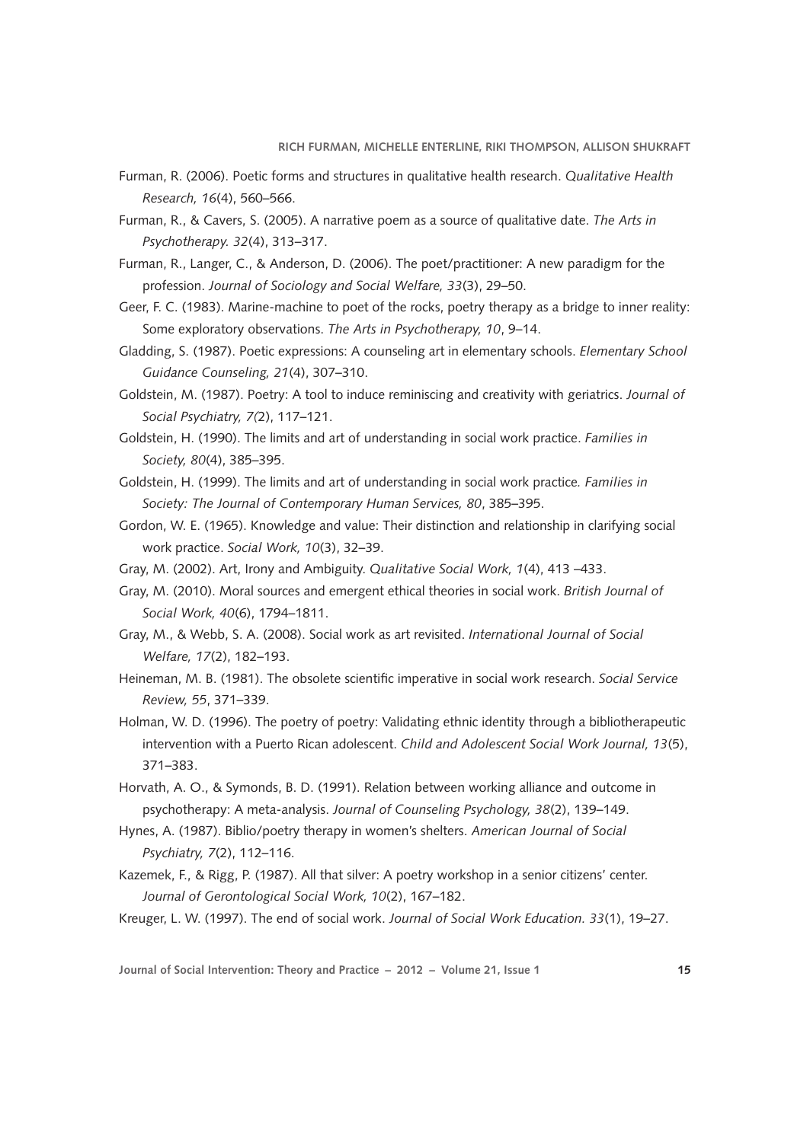- Furman, R. (2006). Poetic forms and structures in qualitative health research. *Qualitative Health Research, 16*(4), 560–566.
- Furman, R., & Cavers, S. (2005). A narrative poem as a source of qualitative date. *The Arts in Psychotherapy. 32*(4), 313–317.
- Furman, R., Langer, C., & Anderson, D. (2006). The poet/practitioner: A new paradigm for the profession. *Journal of Sociology and Social Welfare, 33*(3), 29–50.
- Geer, F. C. (1983). Marine-machine to poet of the rocks, poetry therapy as a bridge to inner reality: Some exploratory observations. *The Arts in Psychotherapy, 10*, 9–14.
- Gladding, S. (1987). Poetic expressions: A counseling art in elementary schools. *Elementary School Guidance Counseling, 21*(4), 307–310.
- Goldstein, M. (1987). Poetry: A tool to induce reminiscing and creativity with geriatrics. *Journal of Social Psychiatry, 7(*2), 117–121.
- Goldstein, H. (1990). The limits and art of understanding in social work practice. *Families in Society, 80*(4), 385–395.
- Goldstein, H. (1999). The limits and art of understanding in social work practice*. Families in Society: The Journal of Contemporary Human Services, 80*, 385–395.
- Gordon, W. E. (1965). Knowledge and value: Their distinction and relationship in clarifying social work practice. *Social Work, 10*(3), 32–39.
- Gray, M. (2002). Art, Irony and Ambiguity. *Qualitative Social Work, 1*(4), 413 –433.
- Gray, M. (2010). Moral sources and emergent ethical theories in social work. *British Journal of Social Work, 40*(6), 1794–1811.
- Gray, M., & Webb, S. A. (2008). Social work as art revisited. *International Journal of Social Welfare, 17*(2), 182–193.
- Heineman, M. B. (1981). The obsolete scientific imperative in social work research. *Social Service Review, 55*, 371–339.
- Holman, W. D. (1996). The poetry of poetry: Validating ethnic identity through a bibliotherapeutic intervention with a Puerto Rican adolescent. *Child and Adolescent Social Work Journal, 13*(5), 371–383.
- Horvath, A. O., & Symonds, B. D. (1991). Relation between working alliance and outcome in psychotherapy: A meta-analysis. *Journal of Counseling Psychology, 38*(2), 139–149.
- Hynes, A. (1987). Biblio/poetry therapy in women's shelters. *American Journal of Social Psychiatry, 7*(2), 112–116.
- Kazemek, F., & Rigg, P. (1987). All that silver: A poetry workshop in a senior citizens' center. *Journal of Gerontological Social Work, 10*(2), 167–182.
- Kreuger, L. W. (1997). The end of social work. *Journal of Social Work Education. 33*(1), 19–27.

**Journal of Social Intervention: Theory and Practice – 2012 – Volume 21, Issue 1 15**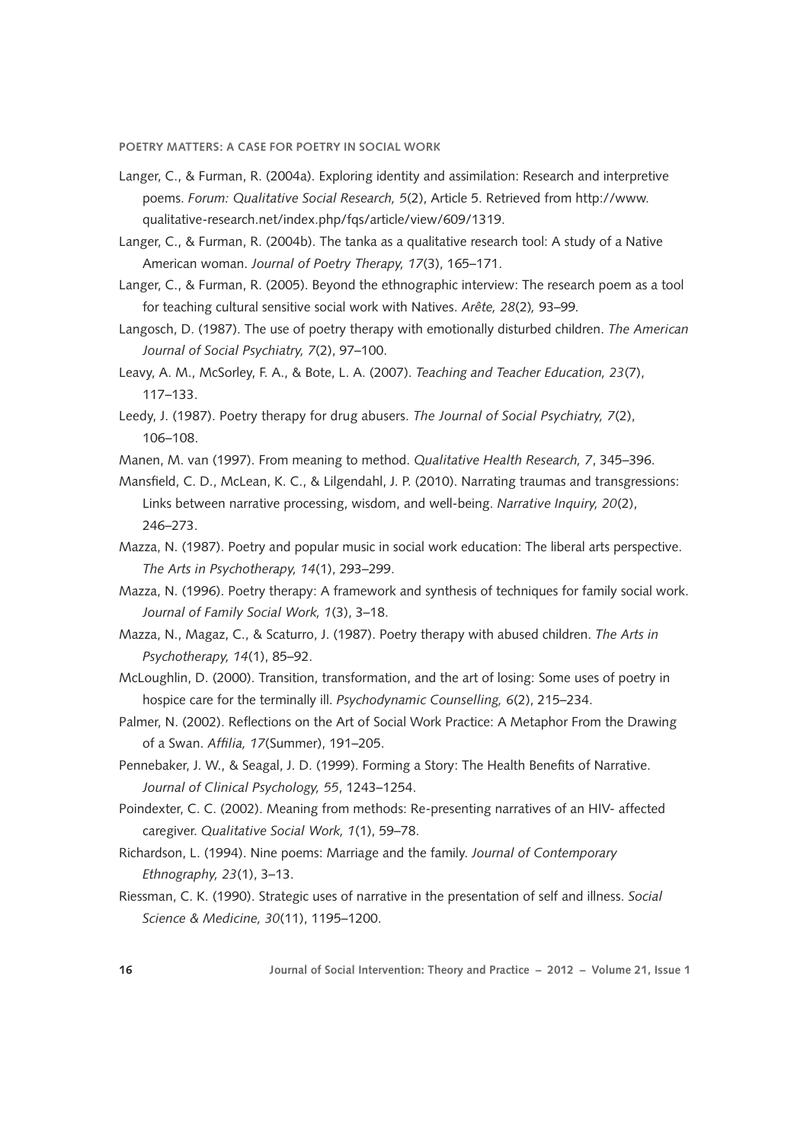- Langer, C., & Furman, R. (2004a). Exploring identity and assimilation: Research and interpretive poems. *Forum: Qualitative Social Research, 5*(2), Article 5. Retrieved from http://www. qualitative-research.net/index.php/fqs/article/view/609/1319.
- Langer, C., & Furman, R. (2004b). The tanka as a qualitative research tool: A study of a Native American woman. *Journal of Poetry Therapy, 17*(3), 165–171.
- Langer, C., & Furman, R. (2005). Beyond the ethnographic interview: The research poem as a tool for teaching cultural sensitive social work with Natives. *Arête, 28*(2)*,* 93–99*.*
- Langosch, D. (1987). The use of poetry therapy with emotionally disturbed children. *The American Journal of Social Psychiatry, 7*(2), 97–100.
- Leavy, A. M., McSorley, F. A., & Bote, L. A. (2007). *Teaching and Teacher Education, 23*(7), 117–133.
- Leedy, J. (1987). Poetry therapy for drug abusers. *The Journal of Social Psychiatry, 7*(2), 106–108.
- Manen, M. van (1997). From meaning to method. *Qualitative Health Research, 7*, 345–396.
- Mansfield, C. D., McLean, K. C., & Lilgendahl, J. P. (2010). Narrating traumas and transgressions: Links between narrative processing, wisdom, and well-being. *Narrative Inquiry, 20*(2), 246–273.
- Mazza, N. (1987). Poetry and popular music in social work education: The liberal arts perspective. *The Arts in Psychotherapy, 14*(1), 293–299.
- Mazza, N. (1996). Poetry therapy: A framework and synthesis of techniques for family social work. *Journal of Family Social Work, 1*(3), 3–18.
- Mazza, N., Magaz, C., & Scaturro, J. (1987). Poetry therapy with abused children. *The Arts in Psychotherapy, 14*(1), 85–92.
- McLoughlin, D. (2000). Transition, transformation, and the art of losing: Some uses of poetry in hospice care for the terminally ill. *Psychodynamic Counselling, 6*(2), 215–234.
- Palmer, N. (2002). Reflections on the Art of Social Work Practice: A Metaphor From the Drawing of a Swan. *Affilia, 17*(Summer), 191–205.
- Pennebaker, J. W., & Seagal, J. D. (1999). Forming a Story: The Health Benefits of Narrative. *Journal of Clinical Psychology, 55*, 1243–1254.
- Poindexter, C. C. (2002). Meaning from methods: Re-presenting narratives of an HIV- affected caregiver. *Qualitative Social Work, 1*(1), 59–78.
- Richardson, L. (1994). Nine poems: Marriage and the family. *Journal of Contemporary Ethnography, 23*(1), 3–13.
- Riessman, C. K. (1990). Strategic uses of narrative in the presentation of self and illness. *Social Science & Medicine, 30*(11), 1195–1200.

**16 Journal of Social Intervention: Theory and Practice – 2012 – Volume 21, Issue 1**